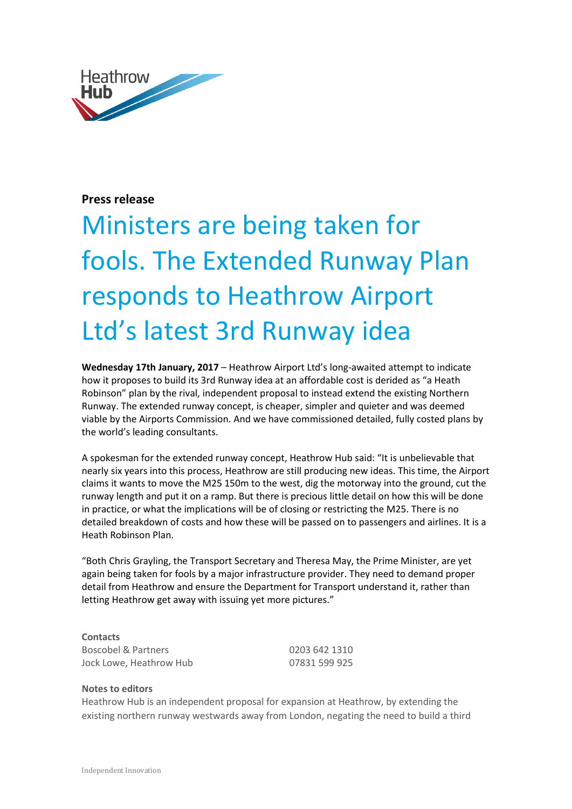

## **Press release**

## Ministers are being taken for fools. The Extended Runway Plan responds to Heathrow Airport Ltd's latest 3rd Runway idea

**Wednesday 17th January, 2017** – Heathrow Airport Ltd's long-awaited attempt to indicate how it proposes to build its 3rd Runway idea at an affordable cost is derided as "a Heath Robinson" plan by the rival, independent proposal to instead extend the existing Northern Runway. The extended runway concept, is cheaper, simpler and quieter and was deemed viable by the Airports Commission. And we have commissioned detailed, fully costed plans by the world's leading consultants.

A spokesman for the extended runway concept, Heathrow Hub said: "It is unbelievable that nearly six years into this process, Heathrow are still producing new ideas. This time, the Airport claims it wants to move the M25 150m to the west, dig the motorway into the ground, cut the runway length and put it on a ramp. But there is precious little detail on how this will be done in practice, or what the implications will be of closing or restricting the M25. There is no detailed breakdown of costs and how these will be passed on to passengers and airlines. It is a Heath Robinson Plan.

"Both Chris Grayling, the Transport Secretary and Theresa May, the Prime Minister, are yet again being taken for fools by a major infrastructure provider. They need to demand proper detail from Heathrow and ensure the Department for Transport understand it, rather than letting Heathrow get away with issuing yet more pictures."

**Contacts** Boscobel & Partners 0203 642 1310 Jock Lowe, Heathrow Hub 07831 599 925

## **Notes to editors**

Heathrow Hub is an independent proposal for expansion at Heathrow, by extending the existing northern runway westwards away from London, negating the need to build a third